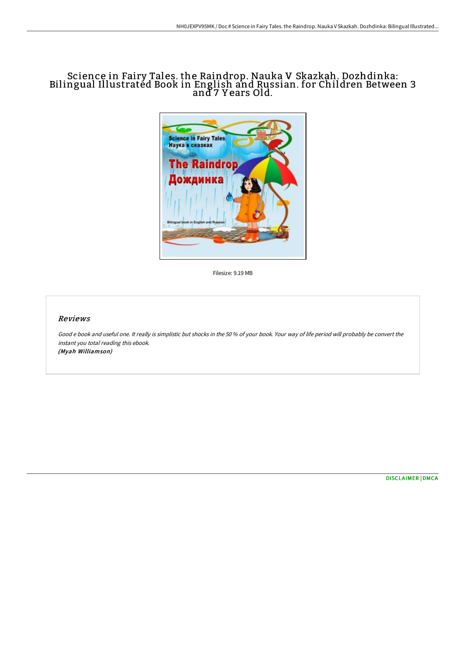## Science in Fairy Tales. the Raindrop. Nauka V Skazkah. Dozhdinka: Bilingual Illustrated Book in English and Russian. for Children Between 3 and 7 Y ears Old.



Filesize: 9.19 MB

## Reviews

Good <sup>e</sup> book and useful one. It really is simplistic but shocks in the 50 % of your book. Your way of life period will probably be convert the instant you total reading this ebook. (Myah Williamson)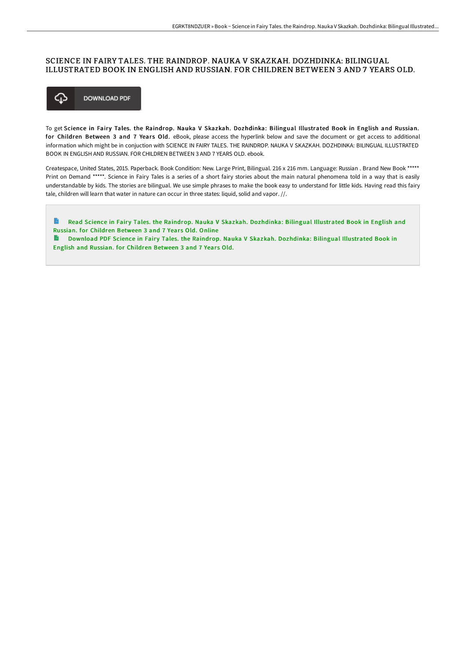## SCIENCE IN FAIRY TALES. THE RAINDROP. NAUKA V SKAZKAH. DOZHDINKA: BILINGUAL ILLUSTRATED BOOK IN ENGLISH AND RUSSIAN. FOR CHILDREN BETWEEN 3 AND 7 YEARS OLD.



To get Science in Fairy Tales. the Raindrop. Nauka V Skazkah. Dozhdinka: Bilingual Illustrated Book in English and Russian. for Children Between 3 and 7 Years Old. eBook, please access the hyperlink below and save the document or get access to additional information which might be in conjuction with SCIENCE IN FAIRY TALES. THE RAINDROP. NAUKA V SKAZKAH. DOZHDINKA: BILINGUAL ILLUSTRATED BOOK IN ENGLISH AND RUSSIAN. FOR CHILDREN BETWEEN 3 AND 7 YEARS OLD. ebook.

Createspace, United States, 2015. Paperback. Book Condition: New. Large Print, Bilingual. 216 x 216 mm. Language: Russian . Brand New Book \*\*\*\*\* Print on Demand \*\*\*\*\*. Science in Fairy Tales is a series of a short fairy stories about the main natural phenomena told in a way that is easily understandable by kids. The stories are bilingual. We use simple phrases to make the book easy to understand for little kids. Having read this fairy tale, children will learn that water in nature can occur in three states: liquid, solid and vapor. //.

B Read Science in Fairy Tales. the Raindrop. Nauka V Skazkah. [Dozhdinka:](http://albedo.media/science-in-fairy-tales-the-raindrop-nauka-v-skaz.html) Bilingual Illustrated Book in English and Russian. for Children Between 3 and 7 Years Old. Online

**Download PDF Science in Fairy Tales. the Raindrop. Nauka V Skazkah. [Dozhdinka:](http://albedo.media/science-in-fairy-tales-the-raindrop-nauka-v-skaz.html) Bilingual Illustrated Book in** English and Russian. for Children Between 3 and 7 Years Old.